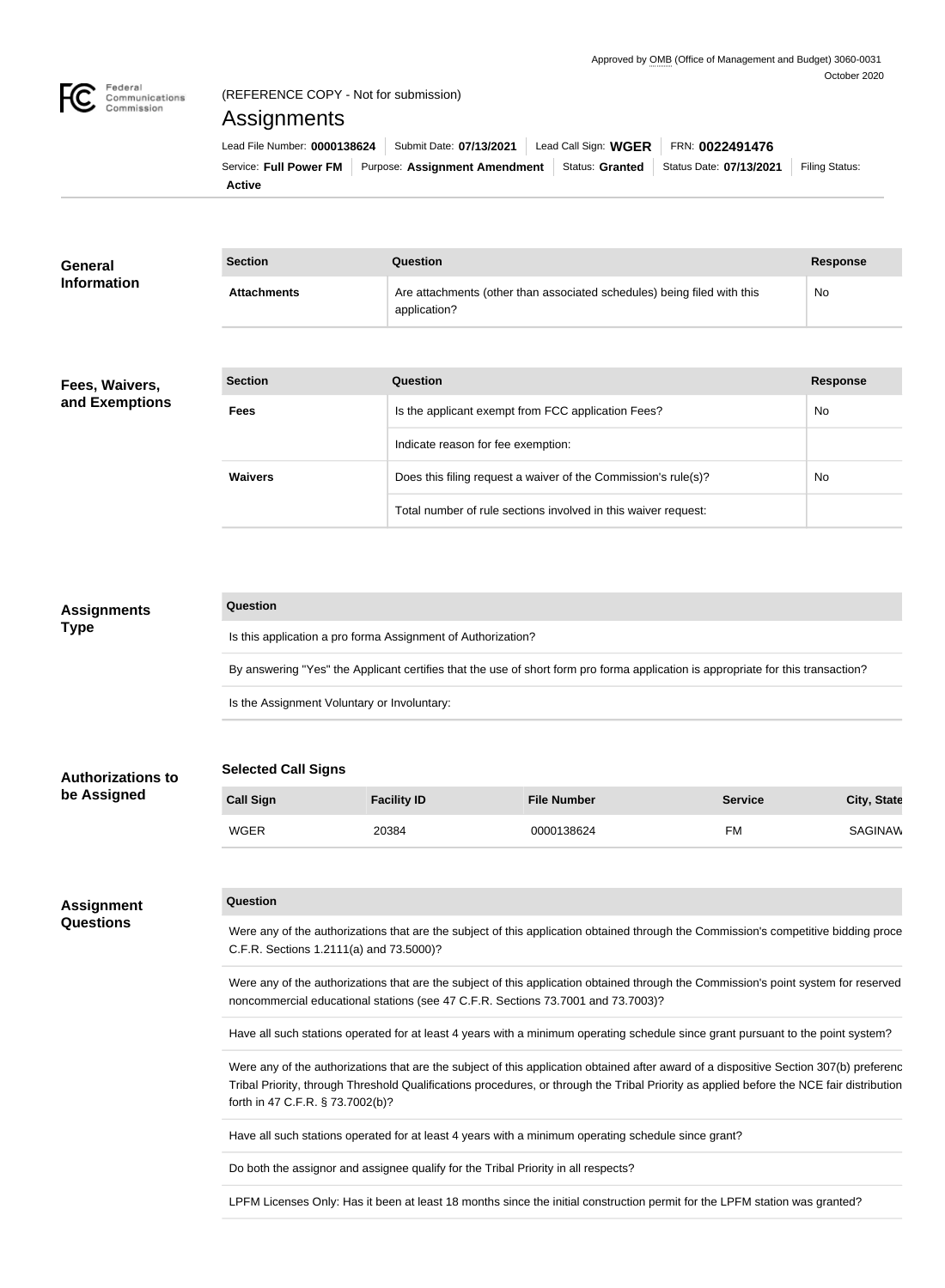

# (REFERENCE COPY - Not for submission)

# Assignments

| Lead File Number: 0000138624   Submit Date: 07/13/2021 |  |  | Lead Call Sign: $WGER$   FRN: $0022491476$                                                         |                |
|--------------------------------------------------------|--|--|----------------------------------------------------------------------------------------------------|----------------|
|                                                        |  |  | Service: Full Power FM   Purpose: Assignment Amendment   Status: Granted   Status Date: 07/13/2021 | Filing Status: |
| Active                                                 |  |  |                                                                                                    |                |

| <b>General</b>     | <b>Section</b>     | <b>Question</b>                                                                         | <b>Response</b> |
|--------------------|--------------------|-----------------------------------------------------------------------------------------|-----------------|
| <b>Information</b> | <b>Attachments</b> | Are attachments (other than associated schedules) being filed with this<br>application? | No              |
|                    |                    |                                                                                         |                 |
| Fees, Waivers,     | <b>Section</b>     | <b>Question</b>                                                                         | <b>Response</b> |
| and Exemptions     | <b>Fees</b>        | Is the applicant exempt from FCC application Fees?                                      | No              |

| occuoli        | <b>QUESHUIL</b>                                                | DESPOITS  |
|----------------|----------------------------------------------------------------|-----------|
| <b>Fees</b>    | Is the applicant exempt from FCC application Fees?             | <b>No</b> |
|                | Indicate reason for fee exemption:                             |           |
| <b>Waivers</b> | Does this filing request a waiver of the Commission's rule(s)? | <b>No</b> |
|                | Total number of rule sections involved in this waiver request: |           |

| <b>Assignments</b> | Question                                                                                                                         |
|--------------------|----------------------------------------------------------------------------------------------------------------------------------|
| <b>Type</b>        | Is this application a pro forma Assignment of Authorization?                                                                     |
|                    | By answering "Yes" the Applicant certifies that the use of short form pro forma application is appropriate for this transaction? |
|                    | Is the Assignment Voluntary or Involuntary:                                                                                      |

## **Selected Call Signs**

| <b>Call Sign</b> | <b>Facility ID</b> | <b>File Number</b> | <b>Service</b> | City, State |
|------------------|--------------------|--------------------|----------------|-------------|
| WGER             | 20384              | 0000138624         | FM             | SAGINAW     |

#### **Assignment Questions**

**Authorizations to be Assigned**

### **Question**

Were any of the authorizations that are the subject of this application obtained through the Commission's competitive bidding proce C.F.R. Sections 1.2111(a) and 73.5000)?

Were any of the authorizations that are the subject of this application obtained through the Commission's point system for reserved noncommercial educational stations (see 47 C.F.R. Sections 73.7001 and 73.7003)?

Have all such stations operated for at least 4 years with a minimum operating schedule since grant pursuant to the point system?

Were any of the authorizations that are the subject of this application obtained after award of a dispositive Section 307(b) preferenc Tribal Priority, through Threshold Qualifications procedures, or through the Tribal Priority as applied before the NCE fair distribution forth in 47 C.F.R. § 73.7002(b)?

Have all such stations operated for at least 4 years with a minimum operating schedule since grant?

Do both the assignor and assignee qualify for the Tribal Priority in all respects?

LPFM Licenses Only: Has it been at least 18 months since the initial construction permit for the LPFM station was granted?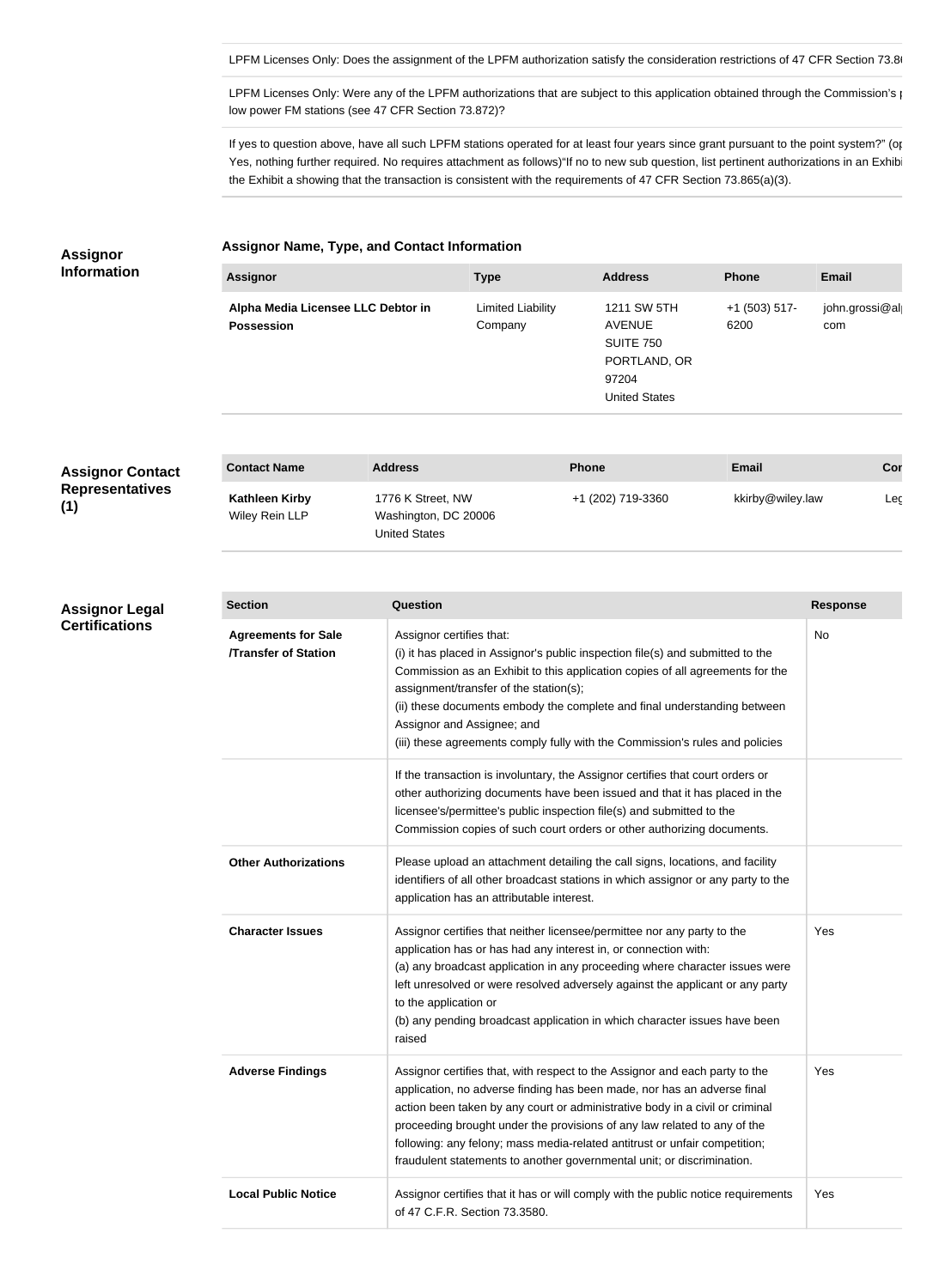LPFM Licenses Only: Does the assignment of the LPFM authorization satisfy the consideration restrictions of 47 CFR Section 73.86

LPFM Licenses Only: Were any of the LPFM authorizations that are subject to this application obtained through the Commission's point system for low power FM stations (see 47 CFR Section 73.872)?

If yes to question above, have all such LPFM stations operated for at least four years since grant pursuant to the point system?" (options – Y Yes, nothing further required. No requires attachment as follows)"If no to new sub question, list pertinent authorizations in an Exhibi the Exhibit a showing that the transaction is consistent with the requirements of 47 CFR Section 73.865(a)(3).

#### **Assignor Name, Type, and Contact Information**

**Assignor Information**

**Assignor Legal Certifications**

|                   | <b>Address</b>       | <b>Phone</b>    | <b>Email</b>   |
|-------------------|----------------------|-----------------|----------------|
| Limited Liability | 1211 SW 5TH          | $+1$ (503) 517- | john.grossi@al |
| Company           | <b>AVENUE</b>        | 6200            | com            |
|                   | <b>SUITE 750</b>     |                 |                |
|                   | PORTLAND, OR         |                 |                |
|                   | 97204                |                 |                |
|                   | <b>United States</b> |                 |                |
|                   |                      |                 |                |

| <b>Assignor Contact</b>       | <b>Contact Name</b>                     | <b>Address</b>                                                    | <b>Phone</b>      | <b>Email</b>     | Cor |
|-------------------------------|-----------------------------------------|-------------------------------------------------------------------|-------------------|------------------|-----|
| <b>Representatives</b><br>(1) | <b>Kathleen Kirby</b><br>Wiley Rein LLP | 1776 K Street, NW<br>Washington, DC 20006<br><b>United States</b> | +1 (202) 719-3360 | kkirby@wiley.law | Lec |

| <b>Section</b>                                            | Question                                                                                                                                                                                                                                                                                                                                                                                                                                                                   | <b>Response</b> |
|-----------------------------------------------------------|----------------------------------------------------------------------------------------------------------------------------------------------------------------------------------------------------------------------------------------------------------------------------------------------------------------------------------------------------------------------------------------------------------------------------------------------------------------------------|-----------------|
| <b>Agreements for Sale</b><br><b>/Transfer of Station</b> | Assignor certifies that:<br>(i) it has placed in Assignor's public inspection file(s) and submitted to the<br>Commission as an Exhibit to this application copies of all agreements for the<br>assignment/transfer of the station(s);<br>(ii) these documents embody the complete and final understanding between<br>Assignor and Assignee; and<br>(iii) these agreements comply fully with the Commission's rules and policies                                            | No              |
|                                                           | If the transaction is involuntary, the Assignor certifies that court orders or<br>other authorizing documents have been issued and that it has placed in the<br>licensee's/permittee's public inspection file(s) and submitted to the<br>Commission copies of such court orders or other authorizing documents.                                                                                                                                                            |                 |
| <b>Other Authorizations</b>                               | Please upload an attachment detailing the call signs, locations, and facility<br>identifiers of all other broadcast stations in which assignor or any party to the<br>application has an attributable interest.                                                                                                                                                                                                                                                            |                 |
| <b>Character Issues</b>                                   | Assignor certifies that neither licensee/permittee nor any party to the<br>application has or has had any interest in, or connection with:<br>(a) any broadcast application in any proceeding where character issues were<br>left unresolved or were resolved adversely against the applicant or any party<br>to the application or<br>(b) any pending broadcast application in which character issues have been<br>raised                                                 | Yes             |
| <b>Adverse Findings</b>                                   | Assignor certifies that, with respect to the Assignor and each party to the<br>application, no adverse finding has been made, nor has an adverse final<br>action been taken by any court or administrative body in a civil or criminal<br>proceeding brought under the provisions of any law related to any of the<br>following: any felony; mass media-related antitrust or unfair competition;<br>fraudulent statements to another governmental unit; or discrimination. | Yes             |
| <b>Local Public Notice</b>                                | Assignor certifies that it has or will comply with the public notice requirements<br>of 47 C.F.R. Section 73.3580.                                                                                                                                                                                                                                                                                                                                                         | Yes             |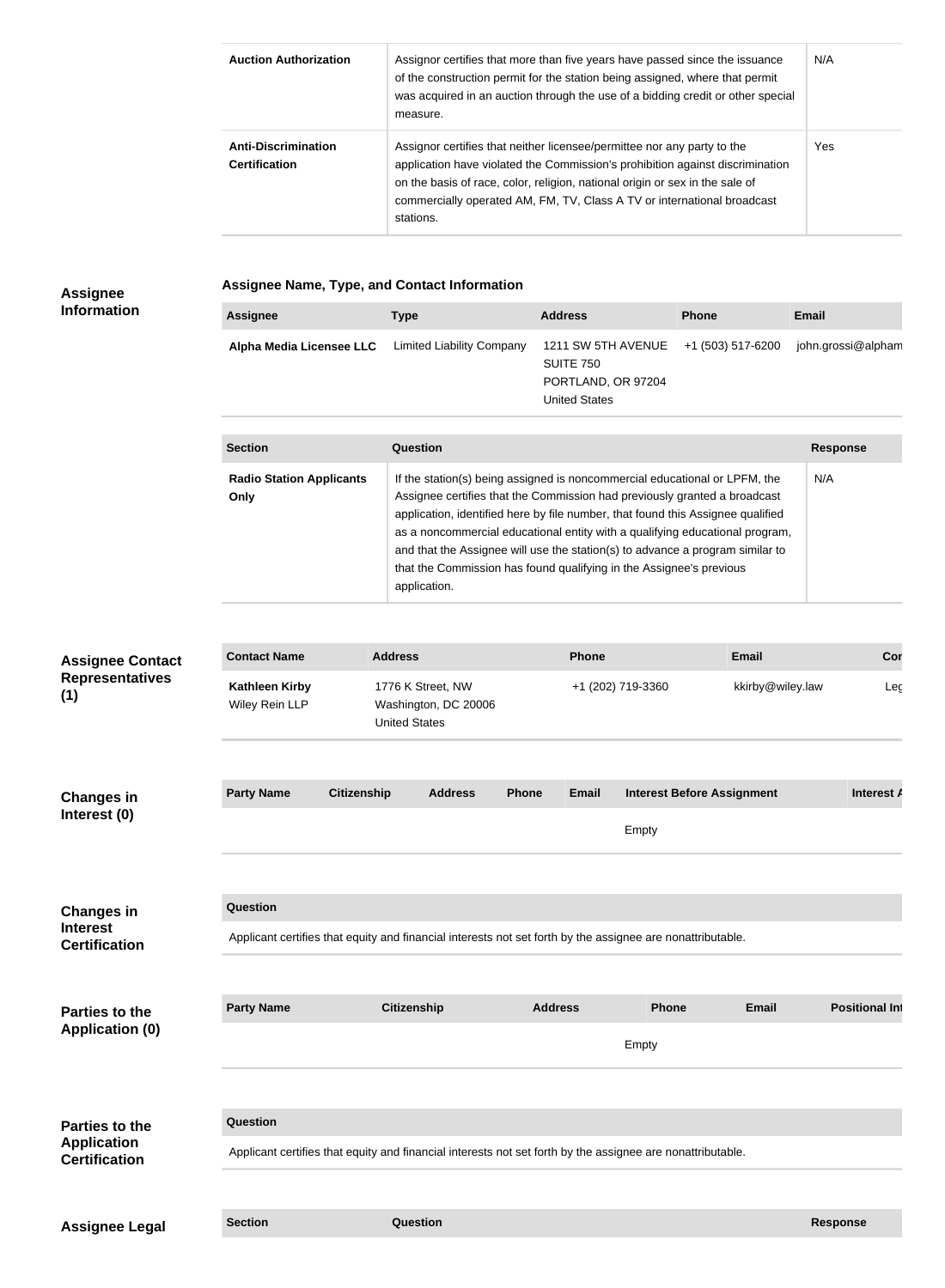| <b>Auction Authorization</b>                       | Assignor certifies that more than five years have passed since the issuance<br>of the construction permit for the station being assigned, where that permit<br>was acquired in an auction through the use of a bidding credit or other special<br>measure.                                                                       | N/A |
|----------------------------------------------------|----------------------------------------------------------------------------------------------------------------------------------------------------------------------------------------------------------------------------------------------------------------------------------------------------------------------------------|-----|
| <b>Anti-Discrimination</b><br><b>Certification</b> | Assignor certifies that neither licensee/permittee nor any party to the<br>application have violated the Commission's prohibition against discrimination<br>on the basis of race, color, religion, national origin or sex in the sale of<br>commercially operated AM, FM, TV, Class A TV or international broadcast<br>stations. | Yes |

# **Assignee Information**

**Assignee Name, Type, and Contact Information**

| Alpha Media Licensee LLC Limited Liability Company<br>1211 SW 5TH AVENUE +1 (503) 517-6200<br>SUITE 750<br>PORTLAND, OR 97204<br><b>United States</b> | <b>Assignee</b> | Type | <b>Address</b> | <b>Phone</b> | <b>Email</b>       |
|-------------------------------------------------------------------------------------------------------------------------------------------------------|-----------------|------|----------------|--------------|--------------------|
|                                                                                                                                                       |                 |      |                |              | john.grossi@alpham |

| <b>Section</b>                          | Question                                                                                                                                                                                                                                                                                                                                                                                                                                                                                           | <b>Response</b> |
|-----------------------------------------|----------------------------------------------------------------------------------------------------------------------------------------------------------------------------------------------------------------------------------------------------------------------------------------------------------------------------------------------------------------------------------------------------------------------------------------------------------------------------------------------------|-----------------|
| <b>Radio Station Applicants</b><br>Only | If the station(s) being assigned is noncommercial educational or LPFM, the<br>Assignee certifies that the Commission had previously granted a broadcast<br>application, identified here by file number, that found this Assignee qualified<br>as a noncommercial educational entity with a qualifying educational program,<br>and that the Assignee will use the station(s) to advance a program similar to<br>that the Commission has found qualifying in the Assignee's previous<br>application. | N/A             |

| <b>Assignee Contact</b>                                      | <b>Contact Name</b>                     | <b>Address</b>                                                                                             |                | Phone             | <b>Email</b>                      | Cor                   |
|--------------------------------------------------------------|-----------------------------------------|------------------------------------------------------------------------------------------------------------|----------------|-------------------|-----------------------------------|-----------------------|
| <b>Representatives</b><br>(1)                                | <b>Kathleen Kirby</b><br>Wiley Rein LLP | 1776 K Street, NW<br>Washington, DC 20006<br><b>United States</b>                                          |                | +1 (202) 719-3360 | kkirby@wiley.law                  | Leg                   |
| <b>Changes in</b><br>Interest (0)                            | <b>Party Name</b>                       | <b>Citizenship</b><br><b>Address</b>                                                                       | <b>Phone</b>   | <b>Email</b>      | <b>Interest Before Assignment</b> | Interest A            |
|                                                              |                                         |                                                                                                            |                | Empty             |                                   |                       |
| <b>Changes in</b><br><b>Interest</b><br><b>Certification</b> | Question                                | Applicant certifies that equity and financial interests not set forth by the assignee are nonattributable. |                |                   |                                   |                       |
|                                                              | <b>Party Name</b>                       | <b>Citizenship</b>                                                                                         | <b>Address</b> |                   | Phone<br><b>Email</b>             | <b>Positional Int</b> |
| <b>Parties to the</b><br><b>Application (0)</b>              |                                         |                                                                                                            |                | Empty             |                                   |                       |
| <b>Parties to the</b>                                        | Question                                |                                                                                                            |                |                   |                                   |                       |
| <b>Application</b><br><b>Certification</b>                   |                                         | Applicant certifies that equity and financial interests not set forth by the assignee are nonattributable. |                |                   |                                   |                       |
| <b>Assignee Legal</b>                                        | <b>Section</b>                          | Question                                                                                                   |                |                   |                                   | <b>Response</b>       |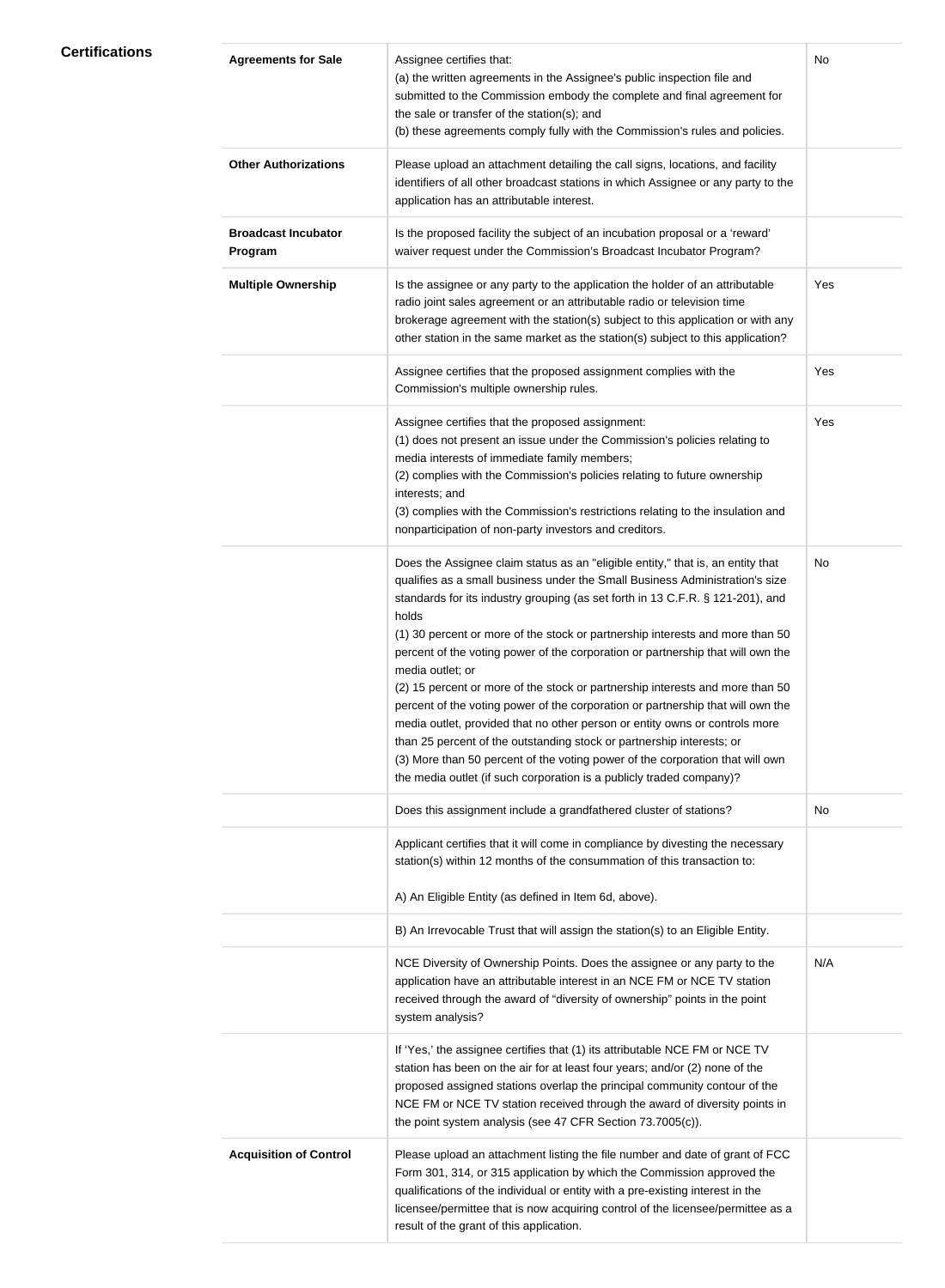# **Certifications**

| <b>Agreements for Sale</b>            | Assignee certifies that:<br>(a) the written agreements in the Assignee's public inspection file and<br>submitted to the Commission embody the complete and final agreement for<br>the sale or transfer of the station(s); and<br>(b) these agreements comply fully with the Commission's rules and policies.                                                                                                                                                                                                                                                                                                                                                                                                                                                                                                                                                                                                                            | No  |
|---------------------------------------|-----------------------------------------------------------------------------------------------------------------------------------------------------------------------------------------------------------------------------------------------------------------------------------------------------------------------------------------------------------------------------------------------------------------------------------------------------------------------------------------------------------------------------------------------------------------------------------------------------------------------------------------------------------------------------------------------------------------------------------------------------------------------------------------------------------------------------------------------------------------------------------------------------------------------------------------|-----|
| <b>Other Authorizations</b>           | Please upload an attachment detailing the call signs, locations, and facility<br>identifiers of all other broadcast stations in which Assignee or any party to the<br>application has an attributable interest.                                                                                                                                                                                                                                                                                                                                                                                                                                                                                                                                                                                                                                                                                                                         |     |
| <b>Broadcast Incubator</b><br>Program | Is the proposed facility the subject of an incubation proposal or a 'reward'<br>waiver request under the Commission's Broadcast Incubator Program?                                                                                                                                                                                                                                                                                                                                                                                                                                                                                                                                                                                                                                                                                                                                                                                      |     |
| <b>Multiple Ownership</b>             | Is the assignee or any party to the application the holder of an attributable<br>radio joint sales agreement or an attributable radio or television time<br>brokerage agreement with the station(s) subject to this application or with any<br>other station in the same market as the station(s) subject to this application?                                                                                                                                                                                                                                                                                                                                                                                                                                                                                                                                                                                                          | Yes |
|                                       | Assignee certifies that the proposed assignment complies with the<br>Commission's multiple ownership rules.                                                                                                                                                                                                                                                                                                                                                                                                                                                                                                                                                                                                                                                                                                                                                                                                                             | Yes |
|                                       | Assignee certifies that the proposed assignment:<br>(1) does not present an issue under the Commission's policies relating to<br>media interests of immediate family members;<br>(2) complies with the Commission's policies relating to future ownership<br>interests; and<br>(3) complies with the Commission's restrictions relating to the insulation and<br>nonparticipation of non-party investors and creditors.                                                                                                                                                                                                                                                                                                                                                                                                                                                                                                                 | Yes |
|                                       | Does the Assignee claim status as an "eligible entity," that is, an entity that<br>qualifies as a small business under the Small Business Administration's size<br>standards for its industry grouping (as set forth in 13 C.F.R. § 121-201), and<br>holds<br>(1) 30 percent or more of the stock or partnership interests and more than 50<br>percent of the voting power of the corporation or partnership that will own the<br>media outlet; or<br>(2) 15 percent or more of the stock or partnership interests and more than 50<br>percent of the voting power of the corporation or partnership that will own the<br>media outlet, provided that no other person or entity owns or controls more<br>than 25 percent of the outstanding stock or partnership interests; or<br>(3) More than 50 percent of the voting power of the corporation that will own<br>the media outlet (if such corporation is a publicly traded company)? | No  |
|                                       | Does this assignment include a grandfathered cluster of stations?                                                                                                                                                                                                                                                                                                                                                                                                                                                                                                                                                                                                                                                                                                                                                                                                                                                                       | No  |
|                                       | Applicant certifies that it will come in compliance by divesting the necessary<br>station(s) within 12 months of the consummation of this transaction to:<br>A) An Eligible Entity (as defined in Item 6d, above).                                                                                                                                                                                                                                                                                                                                                                                                                                                                                                                                                                                                                                                                                                                      |     |
|                                       | B) An Irrevocable Trust that will assign the station(s) to an Eligible Entity.                                                                                                                                                                                                                                                                                                                                                                                                                                                                                                                                                                                                                                                                                                                                                                                                                                                          |     |
|                                       | NCE Diversity of Ownership Points. Does the assignee or any party to the<br>application have an attributable interest in an NCE FM or NCE TV station<br>received through the award of "diversity of ownership" points in the point<br>system analysis?                                                                                                                                                                                                                                                                                                                                                                                                                                                                                                                                                                                                                                                                                  | N/A |
|                                       | If 'Yes,' the assignee certifies that (1) its attributable NCE FM or NCE TV<br>station has been on the air for at least four years; and/or (2) none of the<br>proposed assigned stations overlap the principal community contour of the<br>NCE FM or NCE TV station received through the award of diversity points in<br>the point system analysis (see 47 CFR Section 73.7005(c)).                                                                                                                                                                                                                                                                                                                                                                                                                                                                                                                                                     |     |
| <b>Acquisition of Control</b>         | Please upload an attachment listing the file number and date of grant of FCC<br>Form 301, 314, or 315 application by which the Commission approved the<br>qualifications of the individual or entity with a pre-existing interest in the<br>licensee/permittee that is now acquiring control of the licensee/permittee as a<br>result of the grant of this application.                                                                                                                                                                                                                                                                                                                                                                                                                                                                                                                                                                 |     |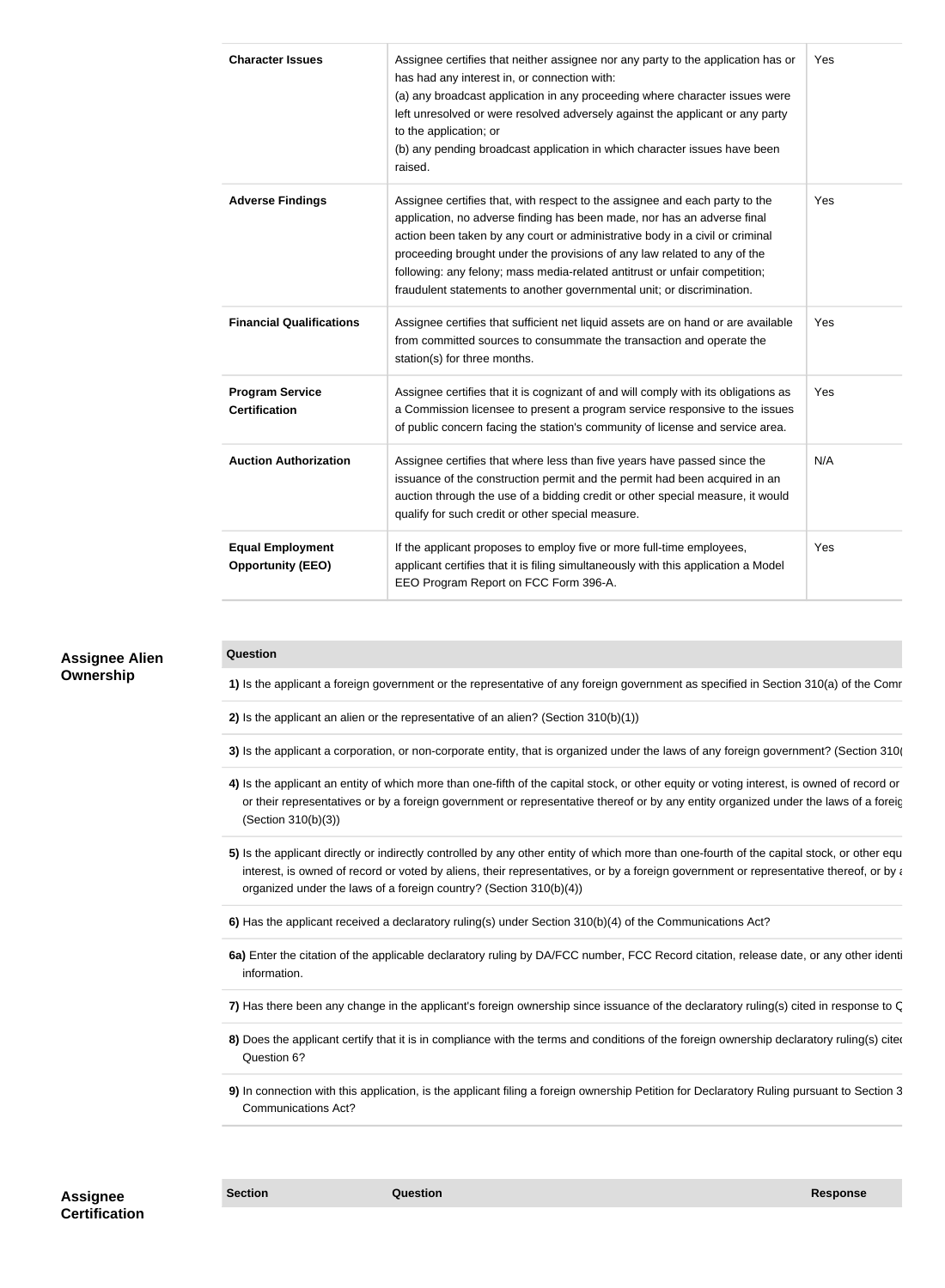| <b>Character Issues</b>                             | Assignee certifies that neither assignee nor any party to the application has or<br>has had any interest in, or connection with:<br>(a) any broadcast application in any proceeding where character issues were<br>left unresolved or were resolved adversely against the applicant or any party<br>to the application; or<br>(b) any pending broadcast application in which character issues have been<br>raised.                                                         | Yes |
|-----------------------------------------------------|----------------------------------------------------------------------------------------------------------------------------------------------------------------------------------------------------------------------------------------------------------------------------------------------------------------------------------------------------------------------------------------------------------------------------------------------------------------------------|-----|
| <b>Adverse Findings</b>                             | Assignee certifies that, with respect to the assignee and each party to the<br>application, no adverse finding has been made, nor has an adverse final<br>action been taken by any court or administrative body in a civil or criminal<br>proceeding brought under the provisions of any law related to any of the<br>following: any felony; mass media-related antitrust or unfair competition;<br>fraudulent statements to another governmental unit; or discrimination. | Yes |
| <b>Financial Qualifications</b>                     | Assignee certifies that sufficient net liquid assets are on hand or are available<br>from committed sources to consummate the transaction and operate the<br>station(s) for three months.                                                                                                                                                                                                                                                                                  | Yes |
| <b>Program Service</b><br><b>Certification</b>      | Assignee certifies that it is cognizant of and will comply with its obligations as<br>a Commission licensee to present a program service responsive to the issues<br>of public concern facing the station's community of license and service area.                                                                                                                                                                                                                         | Yes |
| <b>Auction Authorization</b>                        | Assignee certifies that where less than five years have passed since the<br>issuance of the construction permit and the permit had been acquired in an<br>auction through the use of a bidding credit or other special measure, it would<br>qualify for such credit or other special measure.                                                                                                                                                                              | N/A |
| <b>Equal Employment</b><br><b>Opportunity (EEO)</b> | If the applicant proposes to employ five or more full-time employees,<br>applicant certifies that it is filing simultaneously with this application a Model<br>EEO Program Report on FCC Form 396-A.                                                                                                                                                                                                                                                                       | Yes |

#### **Assignee Alien Ownership**

#### **Question**

1) Is the applicant a foreign government or the representative of any foreign government as specified in Section 310(a) of the Comr

**2)** Is the applicant an alien or the representative of an alien? (Section 310(b)(1))

**3)** Is the applicant a corporation, or non-corporate entity, that is organized under the laws of any foreign government? (Section 310)

- 4) Is the applicant an entity of which more than one-fifth of the capital stock, or other equity or voting interest, is owned of record or or their representatives or by a foreign government or representative thereof or by any entity organized under the laws of a foreig (Section 310(b)(3))
- 5) Is the applicant directly or indirectly controlled by any other entity of which more than one-fourth of the capital stock, or other equ interest, is owned of record or voted by aliens, their representatives, or by a foreign government or representative thereof, or by any entity of the results of the reof, or by any entity of the results of the results of t organized under the laws of a foreign country? (Section 310(b)(4))

**6)** Has the applicant received a declaratory ruling(s) under Section 310(b)(4) of the Communications Act?

6a) Enter the citation of the applicable declaratory ruling by DA/FCC number, FCC Record citation, release date, or any other identi information.

7) Has there been any change in the applicant's foreign ownership since issuance of the declaratory ruling(s) cited in response to C

- 8) Does the applicant certify that it is in compliance with the terms and conditions of the foreign ownership declaratory ruling(s) cited Question 6?
- **9)** In connection with this application, is the applicant filing a foreign ownership Petition for Declaratory Ruling pursuant to Section 3 Communications Act?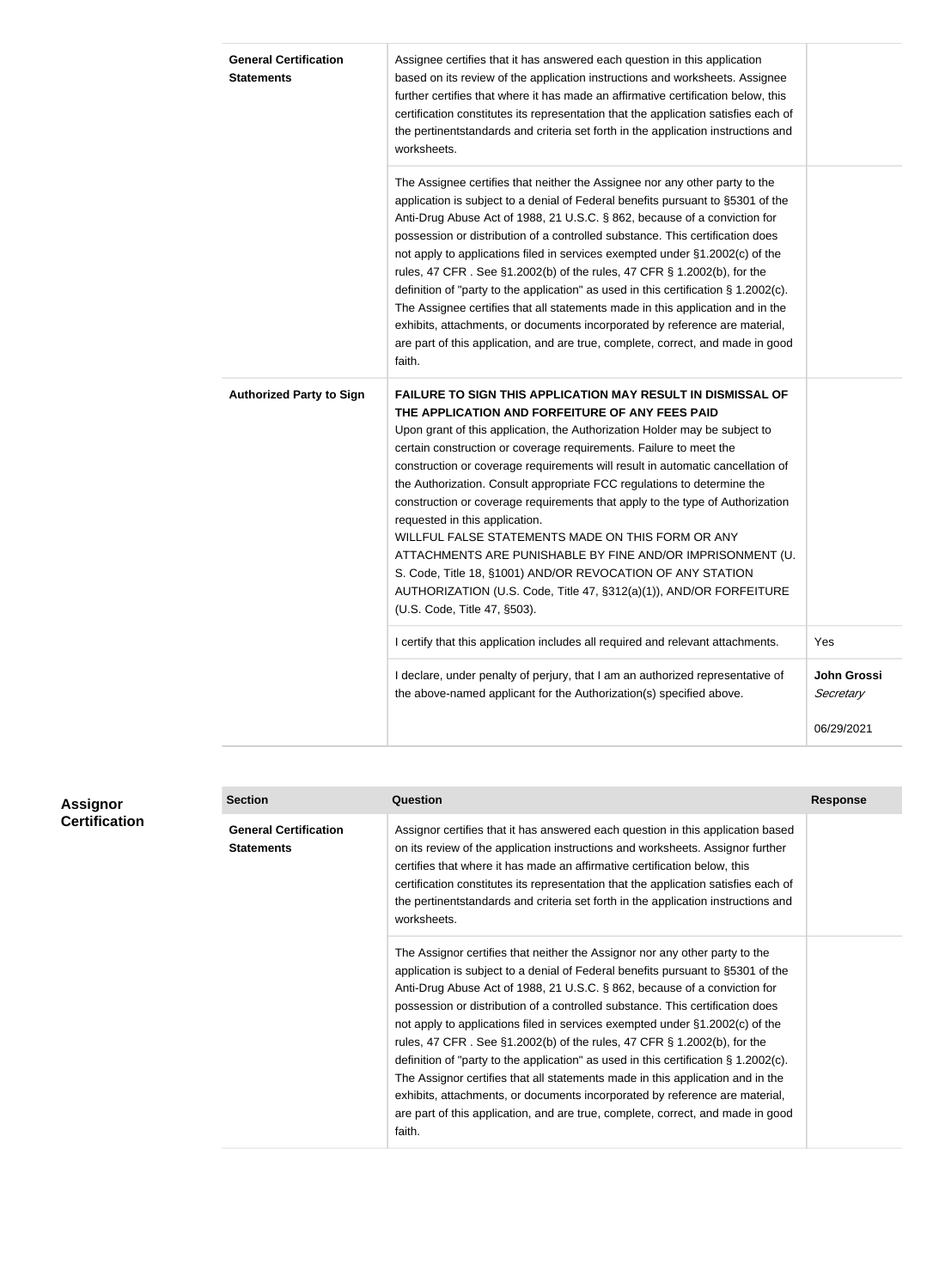| <b>General Certification</b>    | Assignee certifies that it has answered each question in this application           |             |
|---------------------------------|-------------------------------------------------------------------------------------|-------------|
| <b>Statements</b>               | based on its review of the application instructions and worksheets. Assignee        |             |
|                                 | further certifies that where it has made an affirmative certification below, this   |             |
|                                 | certification constitutes its representation that the application satisfies each of |             |
|                                 | the pertinentstandards and criteria set forth in the application instructions and   |             |
|                                 | worksheets.                                                                         |             |
|                                 | The Assignee certifies that neither the Assignee nor any other party to the         |             |
|                                 | application is subject to a denial of Federal benefits pursuant to §5301 of the     |             |
|                                 | Anti-Drug Abuse Act of 1988, 21 U.S.C. § 862, because of a conviction for           |             |
|                                 | possession or distribution of a controlled substance. This certification does       |             |
|                                 | not apply to applications filed in services exempted under §1.2002(c) of the        |             |
|                                 | rules, 47 CFR. See §1.2002(b) of the rules, 47 CFR § 1.2002(b), for the             |             |
|                                 | definition of "party to the application" as used in this certification § 1.2002(c). |             |
|                                 | The Assignee certifies that all statements made in this application and in the      |             |
|                                 | exhibits, attachments, or documents incorporated by reference are material,         |             |
|                                 | are part of this application, and are true, complete, correct, and made in good     |             |
|                                 | faith.                                                                              |             |
| <b>Authorized Party to Sign</b> | <b>FAILURE TO SIGN THIS APPLICATION MAY RESULT IN DISMISSAL OF</b>                  |             |
|                                 | THE APPLICATION AND FORFEITURE OF ANY FEES PAID                                     |             |
|                                 | Upon grant of this application, the Authorization Holder may be subject to          |             |
|                                 | certain construction or coverage requirements. Failure to meet the                  |             |
|                                 | construction or coverage requirements will result in automatic cancellation of      |             |
|                                 | the Authorization. Consult appropriate FCC regulations to determine the             |             |
|                                 | construction or coverage requirements that apply to the type of Authorization       |             |
|                                 | requested in this application.                                                      |             |
|                                 | WILLFUL FALSE STATEMENTS MADE ON THIS FORM OR ANY                                   |             |
|                                 | ATTACHMENTS ARE PUNISHABLE BY FINE AND/OR IMPRISONMENT (U.                          |             |
|                                 | S. Code, Title 18, §1001) AND/OR REVOCATION OF ANY STATION                          |             |
|                                 | AUTHORIZATION (U.S. Code, Title 47, §312(a)(1)), AND/OR FORFEITURE                  |             |
|                                 | (U.S. Code, Title 47, §503).                                                        |             |
|                                 | I certify that this application includes all required and relevant attachments.     | Yes         |
|                                 | I declare, under penalty of perjury, that I am an authorized representative of      | John Grossi |
|                                 | the above-named applicant for the Authorization(s) specified above.                 | Secretary   |
|                                 |                                                                                     |             |

| <b>Assignor</b>      |
|----------------------|
| <b>Certification</b> |

| าor<br>cation | <b>Section</b>                                    | Question                                                                                                                                                                                                                                                                                                                                                                                                                                                                                                                                                                                                                                                                                                                                                                                                                                        | <b>Response</b> |
|---------------|---------------------------------------------------|-------------------------------------------------------------------------------------------------------------------------------------------------------------------------------------------------------------------------------------------------------------------------------------------------------------------------------------------------------------------------------------------------------------------------------------------------------------------------------------------------------------------------------------------------------------------------------------------------------------------------------------------------------------------------------------------------------------------------------------------------------------------------------------------------------------------------------------------------|-----------------|
|               | <b>General Certification</b><br><b>Statements</b> | Assignor certifies that it has answered each question in this application based<br>on its review of the application instructions and worksheets. Assignor further<br>certifies that where it has made an affirmative certification below, this<br>certification constitutes its representation that the application satisfies each of<br>the pertinentstandards and criteria set forth in the application instructions and<br>worksheets.                                                                                                                                                                                                                                                                                                                                                                                                       |                 |
|               |                                                   | The Assignor certifies that neither the Assignor nor any other party to the<br>application is subject to a denial of Federal benefits pursuant to §5301 of the<br>Anti-Drug Abuse Act of 1988, 21 U.S.C. § 862, because of a conviction for<br>possession or distribution of a controlled substance. This certification does<br>not apply to applications filed in services exempted under §1.2002(c) of the<br>rules, 47 CFR. See §1.2002(b) of the rules, 47 CFR § 1.2002(b), for the<br>definition of "party to the application" as used in this certification $\S$ 1.2002(c).<br>The Assignor certifies that all statements made in this application and in the<br>exhibits, attachments, or documents incorporated by reference are material,<br>are part of this application, and are true, complete, correct, and made in good<br>faith. |                 |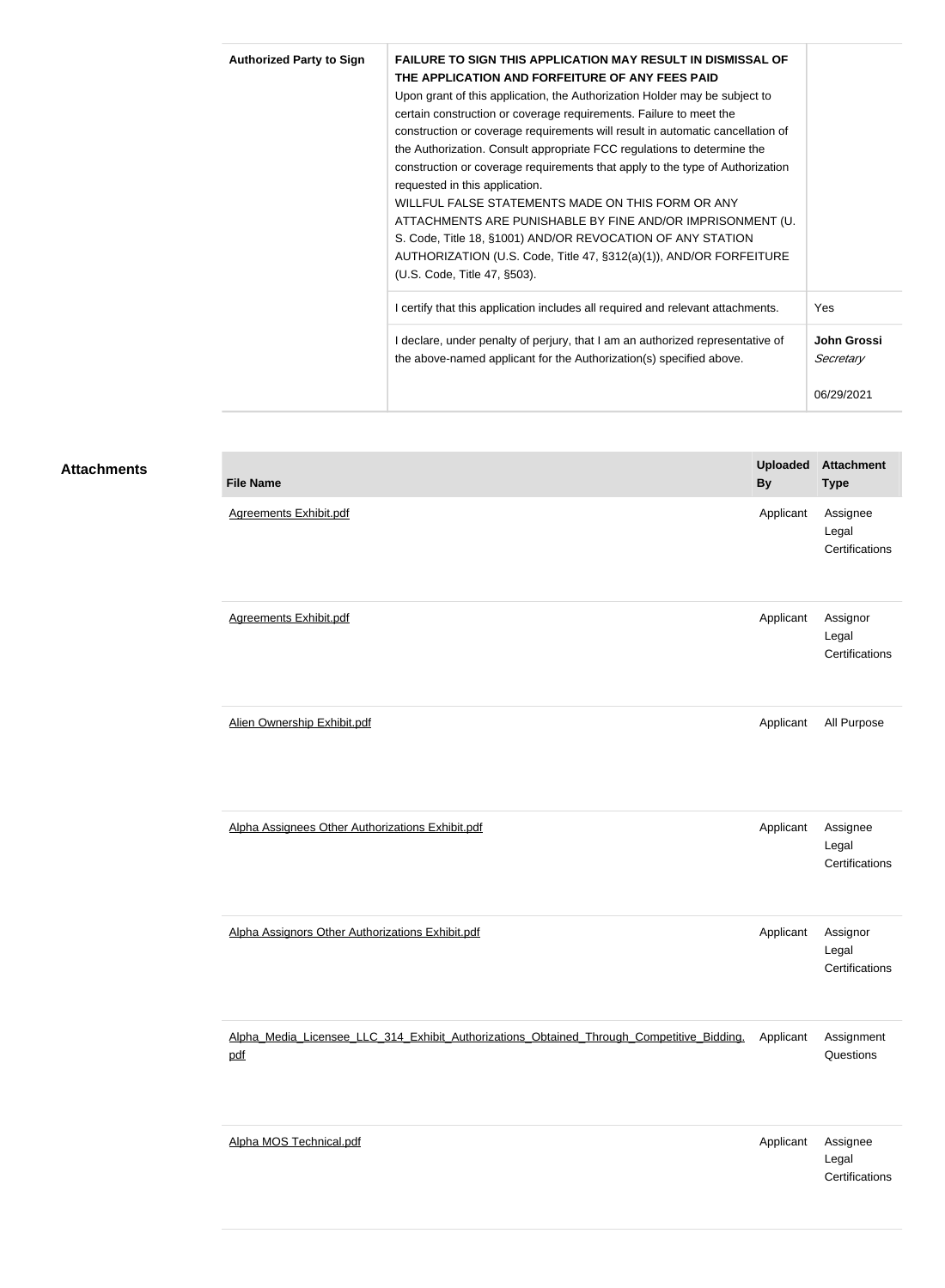| <b>Authorized Party to Sign</b> | <b>FAILURE TO SIGN THIS APPLICATION MAY RESULT IN DISMISSAL OF</b><br>THE APPLICATION AND FORFEITURE OF ANY FEES PAID<br>Upon grant of this application, the Authorization Holder may be subject to<br>certain construction or coverage requirements. Failure to meet the<br>construction or coverage requirements will result in automatic cancellation of<br>the Authorization. Consult appropriate FCC regulations to determine the<br>construction or coverage requirements that apply to the type of Authorization<br>requested in this application.<br>WILLFUL FALSE STATEMENTS MADE ON THIS FORM OR ANY<br>ATTACHMENTS ARE PUNISHABLE BY FINE AND/OR IMPRISONMENT (U.<br>S. Code, Title 18, §1001) AND/OR REVOCATION OF ANY STATION<br>AUTHORIZATION (U.S. Code, Title 47, §312(a)(1)), AND/OR FORFEITURE<br>(U.S. Code, Title 47, §503). |                                               |
|---------------------------------|--------------------------------------------------------------------------------------------------------------------------------------------------------------------------------------------------------------------------------------------------------------------------------------------------------------------------------------------------------------------------------------------------------------------------------------------------------------------------------------------------------------------------------------------------------------------------------------------------------------------------------------------------------------------------------------------------------------------------------------------------------------------------------------------------------------------------------------------------|-----------------------------------------------|
|                                 | I certify that this application includes all required and relevant attachments.                                                                                                                                                                                                                                                                                                                                                                                                                                                                                                                                                                                                                                                                                                                                                                  | Yes                                           |
|                                 | I declare, under penalty of perjury, that I am an authorized representative of<br>the above-named applicant for the Authorization(s) specified above.                                                                                                                                                                                                                                                                                                                                                                                                                                                                                                                                                                                                                                                                                            | <b>John Grossi</b><br>Secretary<br>06/29/2021 |

#### **Attachments**

| <b>File Name</b>                                                                                 | <b>Uploaded</b><br><b>By</b> | <b>Attachment</b><br><b>Type</b>    |
|--------------------------------------------------------------------------------------------------|------------------------------|-------------------------------------|
| <b>Agreements Exhibit.pdf</b>                                                                    | Applicant                    | Assignee<br>Legal<br>Certifications |
| <b>Agreements Exhibit.pdf</b>                                                                    | Applicant                    | Assignor<br>Legal<br>Certifications |
| Alien Ownership Exhibit.pdf                                                                      | Applicant                    | All Purpose                         |
| Alpha Assignees Other Authorizations Exhibit.pdf                                                 | Applicant                    | Assignee<br>Legal<br>Certifications |
| Alpha Assignors Other Authorizations Exhibit.pdf                                                 | Applicant                    | Assignor<br>Legal<br>Certifications |
| Alpha Media Licensee LLC 314 Exhibit Authorizations Obtained Through Competitive Bidding.<br>pdf | Applicant                    | Assignment<br>Questions             |
| Alpha MOS Technical.pdf                                                                          | Applicant                    | Assignee<br>Legal<br>Certifications |